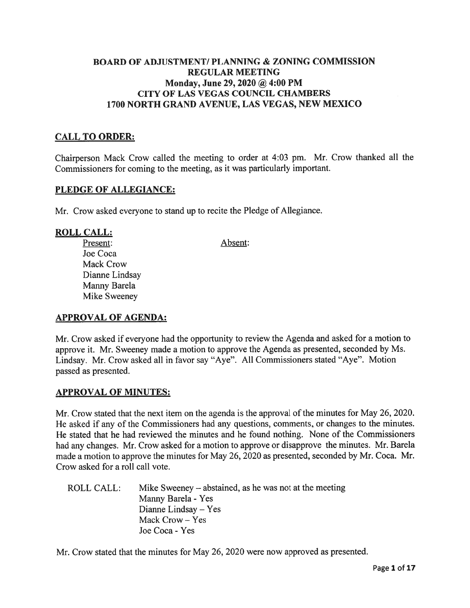# BOARD OF ADJUSTMENT/ PLANNING & ZONING COMMISSION REGULAR MEETING Monday, June 29, 2020  $\omega$  4:00 PM CITY OF LAS VEGAS COUNCIL CHAMBERS 1700 NORTH GRAND AVENUE, LAS VEGAS, NEW MEXICO

### CALL TO ORDER:

Chairperson Mack Crow called the meeting to order at 4:03 pm. Mr. Crow thanked all the Commissioners for coming to the meeting, as it was particularly important.

### PLEDGE OF ALLEGIANCE:

Mr. Crow asked everyone to stand up to recite the Pledge of Allegiance.

#### ROLL CALL:

Present: Absent: Joe Coca Mack Crow Dianne Lindsay Manny Barela Mike Sweeney

### APPROVAL OF AGENDA:

Mr. Crow asked if everyone had the opportunity to review the Agenda and asked for <sup>a</sup> motion to approve it. Mr. Sweeney made <sup>a</sup> motion to approve the Agenda as presented, seconded by Ms. Lindsay. Mr. Crow asked all in favor say "Aye". All Commissioners stated "Aye". Motion passed as presented.

### APPROVAL OF MINUTES:

Mr. Crow stated that the next item on the agenda is the approval of the minutes for May 26, 2020. He asked if any of the Commissioners had any questions, comments, or changes to the minutes. He stated that he had reviewed the minutes and he found nothing. None of the Commissioners had any changes. Mr. Crow asked for <sup>a</sup> motion to approve or disapprove the minutes. Mr. Barela made <sup>a</sup> motion to approve the minutes for May 26, 2020 as presented, seconded by Mr. Coca. Mr. Crow asked for <sup>a</sup> roll call vote.

| ROLL CALL: . | Mike Sweeney $-$ abstained, as he was not at the meeting |
|--------------|----------------------------------------------------------|
|              | Manny Barela - Yes                                       |
|              | Dianne Lindsay $-$ Yes                                   |
|              | Mack Crow – Yes                                          |
|              | Joe Coca - Yes                                           |

Mr. Crow stated that the minutes for May 26, 2020 were now approved as presented.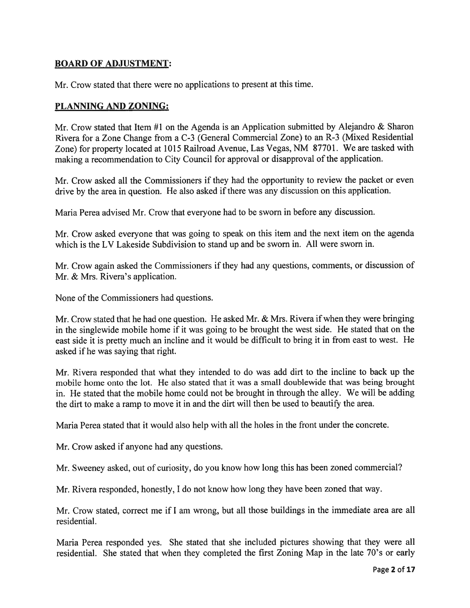# BOARD OF ADJUSTMENT:

Mr. Crow stated that there were no applications to presen<sup>t</sup> at this time.

### PLANNING AND ZONING:

Mr. Crow stated that Item #1 on the Agenda is an Application submitted by Alejandro & Sharon Rivera for <sup>a</sup> Zone Change from <sup>a</sup> C-3 (General Commercial Zone) to an R-3 (Mixed Residential Zone) for property located at 1015 Railroad Avenue, Las Vegas, NM 87701. We are tasked with making <sup>a</sup> recommendation to City Council for approva<sup>l</sup> or disapproval of the application.

Mr. Crow asked all the Commissioners if they had the opportunity to review the packet or even drive by the area in question. He also asked if there was any discussion on this application.

Maria Perea advised Mr. Crow that everyone had to be sworn in before any discussion.

Mr. Crow asked everyone that was going to spea<sup>k</sup> on this item and the next item on the agenda which is the LV Lakeside Subdivision to stand up and be sworn in. All were sworn in.

Mr. Crow again asked the Commissioners if they had any questions, comments, or discussion of Mr. & Mrs. Rivera's application.

None of the Commissioners had questions.

Mr. Crow stated that he had one question. He asked Mr. & Mrs. Rivera if when they were bringing in the singlewide mobile home if it was going to be brought the west side. He stated that on the east side it is pretty much an incline and it would be difficult to bring it in from east to west. He asked if he was saying that right.

Mr. Rivera responded that what they intended to do was add dirt to the incline to back up the mobile home onto the lot. He also stated that it was <sup>a</sup> small doublewide that was being brought in. He stated that the mobile home could not be brought in through the alley. We will be adding the dirt to make <sup>a</sup> ramp to move it in and the dirt will then be used to beautify the area.

Maria Perea stated that it would also help with all the holes in the front under the concrete.

Mr. Crow asked if anyone had any questions.

Mr. Sweeney asked, out of curiosity, do you know how long this has been zoned commercial?

Mr. Rivera responded, honestly, <sup>I</sup> do not know how long they have been zoned that way.

Mr. Crow stated, correct me if <sup>I</sup> am wrong, but all those buildings in the immediate area are all residential.

Maria Perea responded yes. She stated that she included <sup>p</sup>ictures showing that they were all residential. She stated that when they completed the first Zoning Map in the late 70's or early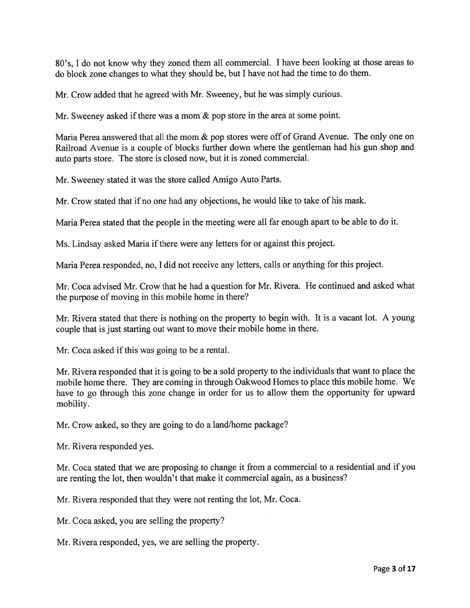80's, <sup>I</sup> do not know why they zoned them all commercial. <sup>I</sup> have been looking at those areas to do block zone changes to what they should be, but <sup>I</sup> have not had the time to do them.

Mr. Crow added that he agreed with Mr. Sweeney, but he was simply curious.

Mr. Sweeney asked if there was a mom & pop store in the area at some point.

Maria Perea answered that all the mom & pop stores were off of Grand Avenue. The only one on Railroad Avenue is <sup>a</sup> couple of blocks further down where the gentleman had his gun shop and auto parts store. The store is closed now, but it is zoned commercial.

Mr. Sweeney stated it was the store called Amigo Auto Parts.

Mr. Crow stated that if no one had any objections, he would like to take of his mask.

Maria Perea stated that the people in the meeting were all far enough apar<sup>t</sup> to be able to do it.

Ms. Lindsay asked Maria if there were any letters for or against this project.

Maria Perea responded, no, <sup>I</sup> did not receive any letters, calls or anything for this project.

Mr. Coca advised Mr. Crow that he had <sup>a</sup> question for Mr. Rivera. He continued and asked what the purpose of moving in this mobile home in there?

Mr. Rivera stated that there is nothing on the property to begin with. It is <sup>a</sup> vacant lot. A young couple that is just starting out want to move their mobile home in there.

Mr. Coca asked if this was going to be a rental.

Mr. Rivera responded that it is going to be <sup>a</sup> sold property to the individuals that want to <sup>p</sup>lace the mobile home there. They are coming in through Oakwood Homes to <sup>p</sup>lace this mobile home. We have to go through this zone change in order for us to allow them the opportunity for upwar<sup>d</sup> mobility.

Mr. Crow asked, so they are going to do <sup>a</sup> land/home package?

Mr. Rivera responded yes.

Mr. Coca stated that we are proposing to change it from <sup>a</sup> commercial to <sup>a</sup> residential and if you are renting the lot, then wouldn't that make it commercial again, as <sup>a</sup> business?

Mr. Rivera responded that they were not renting the lot, Mr. Coca.

Mr. Coca asked, you are selling the property?

Mr. Rivera responded, yes, we are selling the property.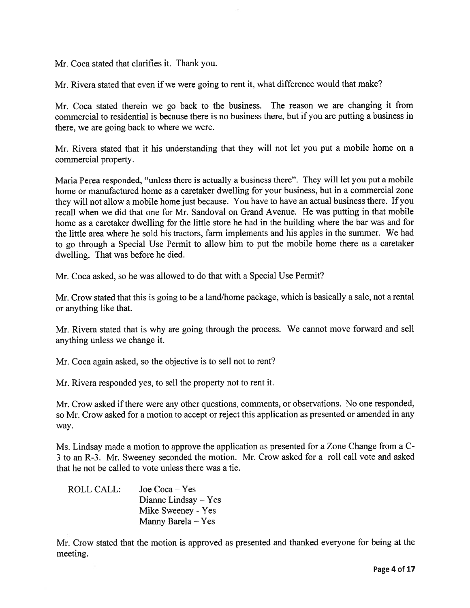Mr. Coca stated that clarifies it. Thank you.

Mr. Rivera stated that even if we were going to rent it, what difference would that make?

Mr. Coca stated therein we go back to the business. The reason we are changing it from commercial to residential is because there is no business there, but if you are putting <sup>a</sup> business in there, we are going back to where we were.

Mr. Rivera stated that it his understanding that they will not let you pu<sup>t</sup> <sup>a</sup> mobile home on <sup>a</sup> commercial property.

Maria Perea responded, "unless there is actually <sup>a</sup> business there". They will let you pu<sup>t</sup> <sup>a</sup> mobile home or manufactured home as <sup>a</sup> caretaker dwelling for your business, but in <sup>a</sup> commercial zone they will not allow <sup>a</sup> mobile home just because. You have to have an actual business there. If you recall when we did that one for Mr. Sandoval on Grand Avenue. He was putting in that mobile home as <sup>a</sup> caretaker dwelling for the little store he had in the building where the bar was and for the little area where he sold his tractors, farm implements and his apples in the summer. We had to go through <sup>a</sup> Special Use Permit to allow him to pu<sup>t</sup> the mobile home there as <sup>a</sup> caretaker dwelling. That was before he died.

Mr. Coca asked, so he was allowed to do that with <sup>a</sup> Special Use Permit?

Mr. Crow stated that this is going to be <sup>a</sup> land/home package, which is basically <sup>a</sup> sale, not <sup>a</sup> rental or anything like that.

Mr. Rivera stated that is why are going through the process. We cannot move forward and sell anything unless we change it.

Mr. Coca again asked, so the objective is to sell not to rent?

Mr. Rivera responded yes, to sell the property not to rent it.

Mr. Crow asked if there were any other questions, comments, or observations. No one responded, so Mr. Crow asked for <sup>a</sup> motion to accep<sup>t</sup> or reject this application as presented or amended in any way.

Ms. Lindsay made <sup>a</sup> motion to approve the application as presented for <sup>a</sup> Zone Change from <sup>a</sup> C-<sup>3</sup> to an R-3. Mr. Sweeney seconded the motion. Mr. Crow asked for <sup>a</sup> roll call vote and asked that he not be called to vote unless there was <sup>a</sup> tie.

| ROLL CALL: | Joe $Coca - Yes$       |
|------------|------------------------|
|            | Dianne Lindsay $-$ Yes |
|            | Mike Sweeney - Yes     |
|            | Manny Barela – Yes     |

Mr. Crow stated that the motion is approved as presented and thanked everyone for being at the meeting.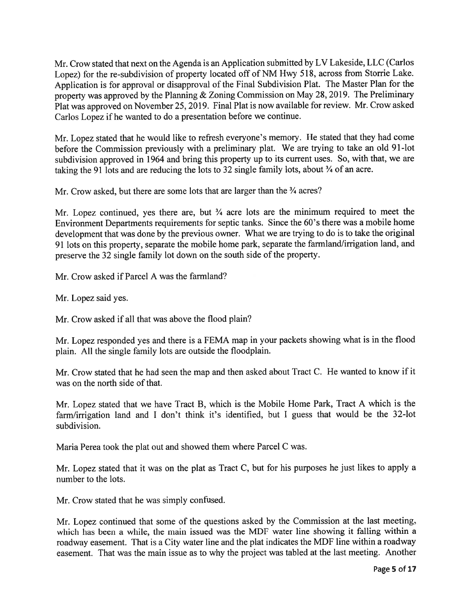Mr. Crow stated that next on the Agenda is an Application submitted by LV Lakeside, LLC (Carlos Lopez) for the re-subdivision of property located off of NM Hwy 518, across from Storrie Lake. Application is for approva<sup>l</sup> or disapproval of the Final Subdivision Plat. The Master Plan for the property was approved by the Planning & Zoning Commission on May 28, 2019. The Preliminary Plat was approve<sup>d</sup> on November 25, 2019. Final Plat is now available for review. Mr. Crow asked Carlos Lopez if he wanted to do <sup>a</sup> presentation before we continue.

Mr. Lopez stated that he would like to refresh everyone's memory. He stated that they had come before the Commission previously with <sup>a</sup> preliminary <sup>p</sup>lat. We are trying to take an old 91-lot subdivision approve<sup>d</sup> in <sup>1964</sup> and bring this property up to its current uses. So, with that, we are taking the 91 lots and are reducing the lots to 32 single family lots, about  $\frac{3}{4}$  of an acre.

Mr. Crow asked, but there are some lots that are larger than the  $\frac{3}{4}$  acres?

Mr. Lopez continued, yes there are, but  $\frac{3}{4}$  acre lots are the minimum required to meet the Environment Departments requirements for septic tanks. Since the 60's there was <sup>a</sup> mobile home development that was done by the previous owner. What we are trying to do is to take the original <sup>91</sup> lots on this property, separate the mobile home park, separate the farmland/irrigation land, and preserve the <sup>32</sup> single family lot down on the south side of the property.

Mr. Crow asked if Parcel A was the farmland?

Mr. Lopez said yes.

Mr. Crow asked if all that was above the flood plain?

Mr. Lopez responded yes and there is <sup>a</sup> FEMA map in your packets showing what is in the flood <sup>p</sup>lain. All the single family lots are outside the floodplain.

Mr. Crow stated that he had seen the map and then asked about Tract C. He wanted to know if it was on the north side of that.

Mr. Lopez stated that we have Tract B, which is the Mobile Home Park, Tract <sup>A</sup> which is the farm/irrigation land and <sup>I</sup> don't think it's identified, but <sup>I</sup> guess that would be the 32-lot subdivision.

Maria Perea took the plat out and showed them where Parcel C was.

Mr. Lopez stated that it was on the <sup>p</sup>lat as Tract C, but for his purposes he just likes to apply <sup>a</sup> number to the lots.

Mr. Crow stated that he was simply confused.

Mr. Lopez continued that some of the questions asked by the Commission at the last meeting, which has been <sup>a</sup> while, the main issued was the MDF water line showing it falling within <sup>a</sup> roadway easement. That is <sup>a</sup> City water line and the <sup>p</sup>lat indicates the MDF line within <sup>a</sup> roadway easement. That was the main issue as to why the project was tabled at the last meeting. Another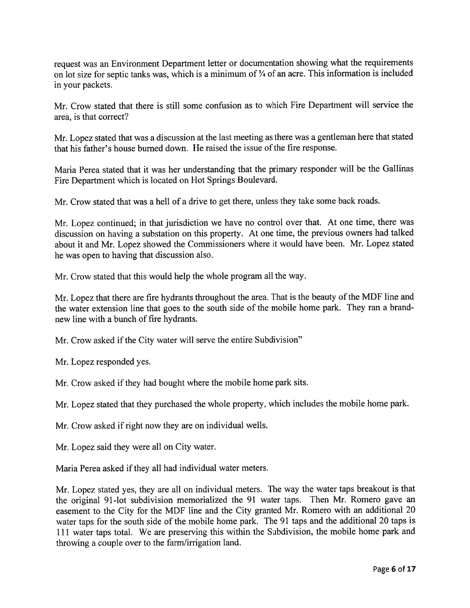reques<sup>t</sup> was an Environment Department letter or documentation showing what the requirements on lot size for septic tanks was, which is a minimum of  $\frac{3}{4}$  of an acre. This information is included in your packets.

Mr. Crow stated that there is still some confusion as to which Fire Department will service the area, is that correct?

Mr. Lopez stated that was <sup>a</sup> discussion at the last meeting as there was <sup>a</sup> gentleman here that stated that his father's house burned down. He raised the issue of the fire response.

Maria Perea stated that it was her understanding that the primary responder will be the Gallinas Fire Department which is located on Hot Springs Boulevard.

Mr. Crow stated that was <sup>a</sup> hell of <sup>a</sup> drive to ge<sup>t</sup> there, unless they take some back roads.

Mr. Lopez continued; in that jurisdiction we have no control over that. At one time, there was discussion on having <sup>a</sup> substation on this property. At one time, the previous owners had talked about it and Mr. Lopez showed the Commissioners where it would have been. Mr. Lopez stated he was open to having that discussion also.

Mr. Crow stated that this would help the whole program all the way.

Mr. Lopez that there are fire hydrants throughout the area. That is the beauty of the MDF line and the water extension line that goes to the south side of the mobile home park. They ran <sup>a</sup> brandnew line with <sup>a</sup> bunch of fire hydrants.

Mr. Crow asked if the City water will serve the entire Subdivision"

Mr. Lopez responded yes.

Mr. Crow asked if they had bought where the mobile home park sits.

Mr. Lopez stated that they purchased the whole property, which includes the mobile home park.

Mr. Crow asked if right now they are on individual wells.

Mr. Lopez said they were all on City water.

Maria Perea asked if they all had individual water meters.

Mr. Lopez stated yes, they are all on individual meters. The way the water taps breakout is that the original 91-lot subdivision memorialized the <sup>91</sup> water taps. Then Mr. Romero gave an easement to the City for the MDF line and the City granted Mr. Romero with an additional <sup>20</sup> water taps for the south side of the mobile home park. The 91 taps and the additional 20 taps is <sup>111</sup> water taps total. We are preserving this within the Subdivision, the mobile home par<sup>k</sup> and throwing <sup>a</sup> couple over to the farm/irrigation land.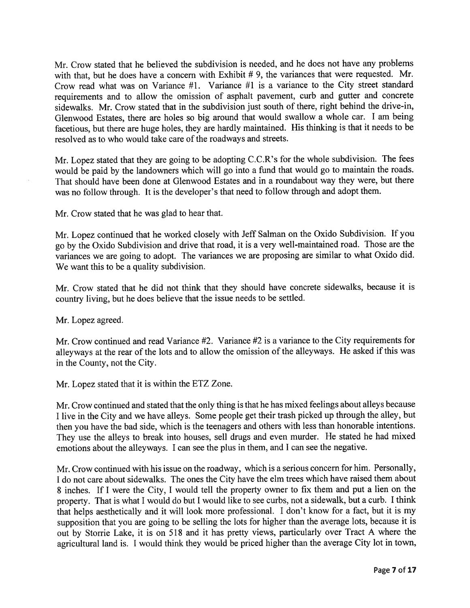Mr. Crow stated that he believed the subdivision is needed, and he does not have any problems with that, but he does have a concern with Exhibit # 9, the variances that were requested. Mr. Crow read what was on Variance #1. Variance #1 is <sup>a</sup> variance to the City Street standard requirements and to allow the omission of asphalt pavement, curb and gutter and concrete sidewalks. Mr. Crow stated that in the subdivision just south of there, right behind the drive-in, Glenwood Estates, there are holes so big around that would swallow <sup>a</sup> whole car. <sup>I</sup> am being facetious, but there are huge holes, they are hardly maintained. His thinking is that it needs to be resolved as to who would take care of the roadways and streets.

Mr. Lopez stated that they are going to be adopting C.C.R's for the whole subdivision. The fees would be paid by the landowners which will go into <sup>a</sup> fund that would go to maintain the roads. That should have been done at Glenwood Estates and in <sup>a</sup> roundabout way they were, but there was no follow through. It is the developer's that need to follow through and adopt them.

Mr. Crow stated that he was glad to hear that.

Mr. Lopez continued that he worked closely with Jeff Salman on the Oxido Subdivision. If you go by the Oxido Subdivision and drive that road, it is <sup>a</sup> very well-maintained road. Those are the variances we are going to adopt. The variances we are proposing are similar to what Oxido did. We want this to be <sup>a</sup> quality subdivision.

Mr. Crow stated that he did not think that they should have concrete sidewalks, because it is country living, but he does believe that the issue needs to be settled.

Mr. Lopez agreed.

Mr. Crow continued and read Variance #2. Variance #2 is <sup>a</sup> variance to the City requirements for alleyways at the rear of the lots and to allow the omission of the alleyways. He asked if this was in the County, not the City.

Mr. Lopez stated that it is within the ETZ Zone.

Mr. Crow continued and stated that the only thing is that he has mixed feelings about alleys because <sup>I</sup> live in the City and we have alleys. Some people ge<sup>t</sup> their trash <sup>p</sup>icked up through the alley, but then you have the bad side, which is the teenagers and others with less than honorable intentions. They use the alleys to break into houses, sell drugs and even murder. He stated he had mixed emotions about the alleyways. <sup>I</sup> can see the <sup>p</sup>lus in them, and <sup>I</sup> can see the negative.

Mr. Crow continued with his issue on the roadway, which is <sup>a</sup> serious concern for him. Personally, <sup>I</sup> do not care about sidewalks. The ones the City have the elm trees which have raised them about <sup>8</sup> inches. If <sup>I</sup> were the City, <sup>I</sup> would tell the property owner to fix them and pu<sup>t</sup> <sup>a</sup> lien on the property. That is what <sup>I</sup> would do but <sup>I</sup> would like to see curbs, not <sup>a</sup> sidewalk, but <sup>a</sup> curb. <sup>I</sup> think that helps aesthetically and it will look more professional. <sup>I</sup> don't know for <sup>a</sup> fact, but it is my supposition that you are going to be selling the lots for higher than the average lots, because it is out by Storrie Lake, it is on <sup>518</sup> and it has pretty views, particularly over Tract <sup>A</sup> where the agricultural land is. <sup>I</sup> would think they would be priced higher than the average City lot in town,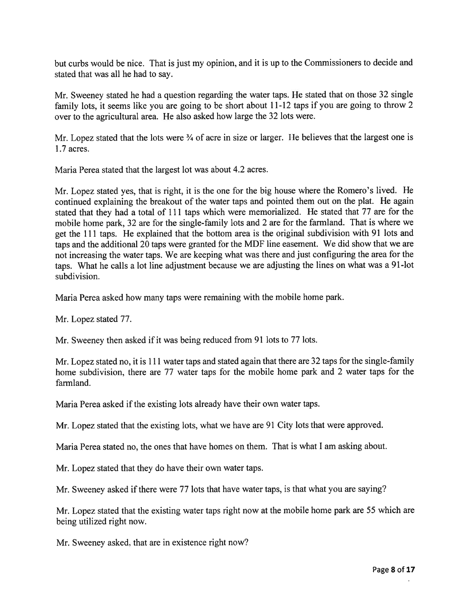but curbs would be nice. That is just my opinion, and it is up to the Commissioners to decide and stated that was all he had to say.

Mr. Sweeney stated he had <sup>a</sup> question regarding the water taps. He stated that on those <sup>32</sup> single family lots, it seems like you are going to be short about 11-12 taps if you are going to throw <sup>2</sup> over to the agricultural area. He also asked how large the 32 lots were.

Mr. Lopez stated that the lots were  $\frac{3}{4}$  of acre in size or larger. He believes that the largest one is 1.7 acres.

Maria Perea stated that the largest lot was about 4.2 acres.

Mr. Lopez stated yes, that is right, it is the one for the big house where the Romero's lived. He continued explaining the breakout of the water taps and pointed them out on the <sup>p</sup>lat. He again stated that they had <sup>a</sup> total of <sup>111</sup> taps which were memorialized. He stated that <sup>77</sup> are for the mobile home park, 32 are for the single-family lots and <sup>2</sup> are for the farmland. That is where we ge<sup>t</sup> the <sup>111</sup> taps. He explained that the bottom area is the original subdivision with <sup>91</sup> lots and taps and the additional <sup>20</sup> taps were granted for the MDF line easement. We did show that we are not increasing the water taps. We are keeping what was there and just configuring the area for the taps. What he calls <sup>a</sup> lot line adjustment because we are adjusting the lines on what was <sup>a</sup> 91-lot subdivision.

Maria Perea asked how many taps were remaining with the mobile home park.

Mr. Lopez stated 77.

Mr. Sweeney then asked if it was being reduced from 91 lots to <sup>77</sup> lots.

Mr. Lopez stated no, it is <sup>111</sup> water taps and stated again that there are <sup>32</sup> taps for the single-family home subdivision, there are <sup>77</sup> water taps for the mobile home park and <sup>2</sup> water taps for the farmland.

Maria Perea asked if the existing lots already have their own water taps.

Mr. Lopez stated that the existing lots, what we have are 91 City lots that were approved.

Maria Perea stated no, the ones that have homes on them. That is what I am asking about.

Mr. Lopez stated that they do have their own water taps.

Mr. Sweeney asked if there were <sup>77</sup> lots that have water taps, is that what you are saying?

Mr. Lopez stated that the existing water taps right now at the mobile home park are <sup>55</sup> which are being utilized right now.

Mr. Sweeney asked, that are in existence right now?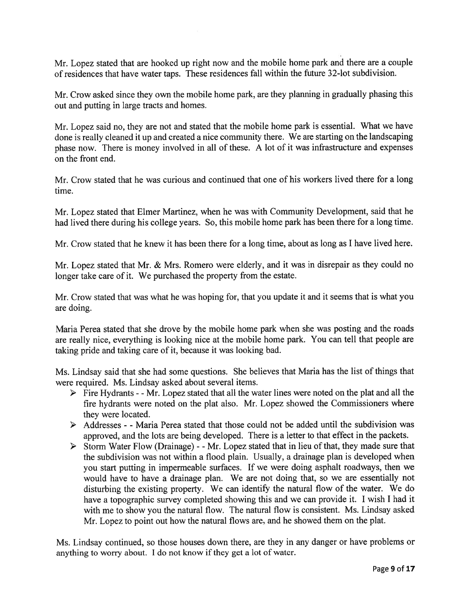Mr. Lopez stated that are hooked up right now and the mobile home par<sup>k</sup> and there are <sup>a</sup> couple of residences that have water taps. These residences fall within the future 32-lot subdivision.

Mr. Crow asked since they own the mobile home park, are they <sup>p</sup>lanning in gradually <sup>p</sup>hasing this out and putting in large tracts and homes.

Mr. Lopez said no, they are not and stated that the mobile home par<sup>k</sup> is essential. What we have done is really cleaned it up and created <sup>a</sup> nice community there. We are starting on the landscaping <sup>p</sup>hase now. There is money involved in all of these. <sup>A</sup> lot of it was infrastructure and expenses on the front end.

Mr. Crow stated that he was curious and continued that one of his workers lived there for <sup>a</sup> long time.

Mr. Lopez stated that Elmer Martinez, when he was with Community Development, said that he had lived there during his college years. So, this mobile home park has been there for <sup>a</sup> long time.

Mr. Crow stated that he knew it has been there for <sup>a</sup> long time, about as long as <sup>I</sup> have lived here.

Mr. Lopez stated that Mr. & Mrs. Romero were elderly, and it was in disrepair as they could no longer take care of it. We purchased the property from the estate.

Mr. Crow stated that was what he was hoping for, that you update it and it seems that is what you are doing.

Maria Perea stated that she drove by the mobile home park when she was posting and the roads are really nice, everything is looking nice at the mobile home park. You can tell that people are taking pride and taking care of it, because it was looking bad.

Ms. Lindsay said that she had some questions. She believes that Maria has the list of things that were required. Ms. Lindsay asked about several items.

- <sup>&</sup>gt; Fire Hydrants -Mr. Lopez stated that all the water lines were noted on the <sup>p</sup>lat and all the fire hydrants were noted on the <sup>p</sup>lat also. Mr. Lopez showed the Commissioners where they were located.
- $\triangleright$  Addresses - Maria Perea stated that those could not be added until the subdivision was approved, and the lots are being developed. There is <sup>a</sup> letter to that effect in the packets.
- $\triangleright$  Storm Water Flow (Drainage) - Mr. Lopez stated that in lieu of that, they made sure that the subdivision was not within <sup>a</sup> flood plain. Usually, <sup>a</sup> drainage plan is developed when you start putting in impermeable surfaces. If we were doing asphalt roadways, then we would have to have <sup>a</sup> drainage <sup>p</sup>lan. We are not doing that, so we are essentially not disturbing the existing property. We can identify the natural flow of the water. We do have <sup>a</sup> topographic survey completed showing this and we can provide it. <sup>I</sup> wish <sup>I</sup> had it with me to show you the natural flow. The natural flow is consistent. Ms. Lindsay asked Mr. Lopez to point out how the natural flows are, and he showed them on the plat.

Ms. Lindsay continued, so those houses down there, are they in any danger or have problems or anything to worry about. <sup>I</sup> do not know if they ge<sup>t</sup> <sup>a</sup> lot of water.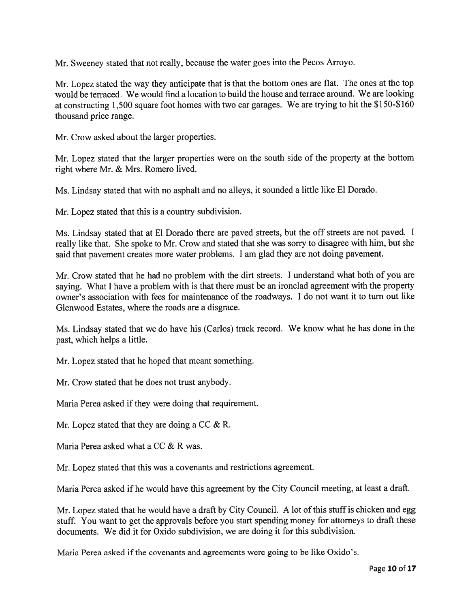Mr. Sweeney stated that not really, because the water goes into the Pecos Arroyo.

Mr. Lopez stated the way they anticipate that is that the bottom ones are flat. The ones at the top would be terraced. We would find <sup>a</sup> location to build the house and terrace around. We are looking at constructing 1,500 square foot homes with two car garages. We are trying to hit the \$150-\$160 thousand price range.

Mr. Crow asked about the larger properties.

Mr. Lopez stated that the larger properties were on the south side of the property at the bottom right where Mr. & Mrs. Romero lived.

Ms. Lindsay stated that with no asphalt and no alleys, it sounded <sup>a</sup> little like El Dorado.

Mr. Lopez stated that this is <sup>a</sup> country subdivision.

Ms. Lindsay stated that at El Dorado there are pave<sup>d</sup> streets, but the off streets are not paved. <sup>I</sup> really like that. She spoke to Mr. Crow and stated that she was sorry to disagree with him, but she said that pavemen<sup>t</sup> creates more water problems. <sup>I</sup> am <sup>g</sup>lad they are not doing pavement.

Mr. Crow stated that he had no problem with the dirt streets. <sup>I</sup> understand what both of you are saying. What <sup>I</sup> have <sup>a</sup> problem with is that there must be an ironclad agreemen<sup>t</sup> with the property owner's association with fees for maintenance of the roadways. I do not want it to turn out like Glenwood Estates, where the roads are <sup>a</sup> disgrace.

Ms. Lindsay stated that we do have his (Carlos) track record. We know what he has done in the past, which helps <sup>a</sup> little.

Mr. Lopez stated that he hoped that meant something.

Mr. Crow stated that he does not trust anybody.

Maria Perea asked if they were doing that requirement.

Mr. Lopez stated that they are doing a CC & R.

Maria Perea asked what <sup>a</sup> CC & R was.

Mr. Lopez stated that this was <sup>a</sup> covenants and restrictions agreement.

Maria Perea asked if he would have this agreemen<sup>t</sup> by the City Council meeting, at least <sup>a</sup> draft.

Mr. Lopez stated that he would have a draft by City Council. A lot of this stuff is chicken and egg stuff. You want to get the approvals before you start spending money for attorneys to draft these documents. We did it for Oxido subdivision, we are doing it for this subdivision.

Maria Perea asked if the covenants and agreements were going to be like Oxido's.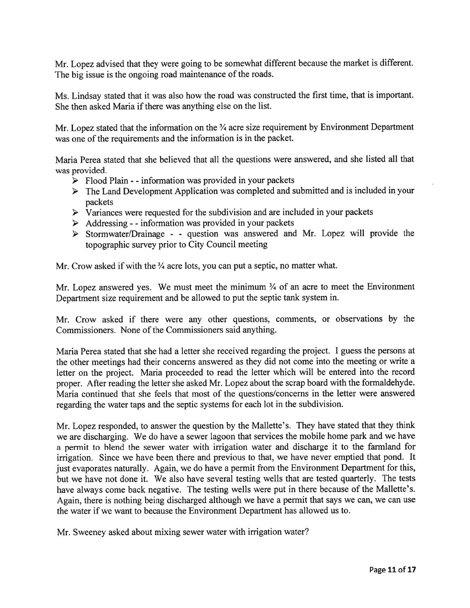Mr. Lopez advised that they were going to be somewhat different because the market is different. The big issue is the ongoing road maintenance of the roads.

Ms. Lindsay stated that it was also how the road was constructed the first time, that is important. She then asked Maria if there was anything else on the list.

Mr. Lopez stated that the information on the  $\frac{3}{4}$  acre size requirement by Environment Department was one of the requirements and the information is in the packet.

Maria Perea stated that she believed that all the questions were answered, and she listed all that was provided.

- $\triangleright$  Flood Plain - information was provided in your packets
- The Land Development Application was completed and submitted and is included in your packets
- $\triangleright$  Variances were requested for the subdivision and are included in your packets
- $\triangleright$  Addressing - information was provided in your packets
- $\triangleright$  Stormwater/Drainage - question was answered and Mr. Lopez will provide the topographic survey prior to City Council meeting

Mr. Crow asked if with the <sup>3</sup>/4 acre lots, you can put a septic, no matter what.

Mr. Lopez answered yes. We must meet the minimum 3/4 of an acre to meet the Environment Department size requirement and be allowed to pu<sup>t</sup> the septic tank system in.

Mr. Crow asked if there were any other questions, comments, or observations by the Commissioners. None of the Commissioners said anything.

Maria Perea stated that she had <sup>a</sup> letter she received regarding the project. I guess the persons at the other meetings had their concerns answered as they did not come into the meeting or write <sup>a</sup> letter on the project. Maria proceeded to read the letter which will be entered into the record proper. After reading the letter she asked Mr. Lopez about the scrap board with the formaldehyde. Maria continued that she feels that most of the questions/concerns in the letter were answered regarding the water taps and the septic systems for each lot in the subdivision.

Mr. Lopez responded, to answer the question by the Mallette's. They have stated that they think we are discharging. We do have <sup>a</sup> sewer lagoon that services the mobile home par<sup>k</sup> and we have <sup>a</sup> permit to blend the sewer water with irrigation water and discharge it to the farmland for irrigation. Since we have been there and previous to that, we have never emptied that pond. It just evaporates naturally. Again, we do have <sup>a</sup> permit from the Environment Department for this, but we have not done it. We also have several testing wells that are tested quarterly. The tests have always come back negative. The testing wells were pu<sup>t</sup> in there because of the Mallette's. Again, there is nothing being discharged although we have <sup>a</sup> permit that says we can, we can use the water if we want to because the Environment Department has allowed us to.

Mr. Sweeney asked about mixing sewer water with irrigation water?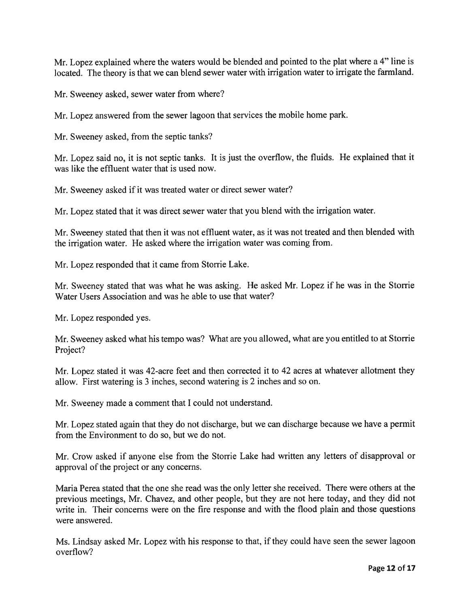Mr. Lopez explained where the waters would be blended and pointed to the <sup>p</sup>lat where <sup>a</sup> 4" line is located. The theory is that we can blend sewer water with irrigation water to irrigate the farmland.

Mr. Sweeney asked, sewer water from where?

Mr. Lopez answered from the sewer lagoon that services the mobile home park.

Mr. Sweeney asked, from the septic tanks?

Mr. Lopez said no, it is not septic tanks. It is just the overflow, the fluids. He explained that it was like the effluent water that is used now.

Mr. Sweeney asked if it was treated water or direct sewer water?

Mr. Lopez stated that it was direct sewer water that you blend with the irrigation water.

Mr. Sweeney stated that then it was not effluent water, as it was not treated and then blended with the irrigation water. He asked where the irrigation water was coming from.

Mr. Lopez responded that it came from Storrie Lake.

Mr. Sweeney stated that was what he was asking. He asked Mr. Lopez if he was in the Storrie Water Users Association and was he able to use that water?

Mr. Lopez responded yes.

Mr. Sweeney asked what his tempo was? What are you allowed, what are you entitled to at Storrie Project?

Mr. Lopez stated it was 42-acre feet and then corrected it to <sup>42</sup> acres at whatever allotment they allow. First watering is 3 inches, second watering is 2 inches and so on.

Mr. Sweeney made <sup>a</sup> comment that I could not understand.

Mr. Lopez stated again that they do not discharge, but we can discharge because we have <sup>a</sup> permit from the Environment to do so, but we do not.

Mr. Crow asked if anyone else from the Storrie Lake had written any letters of disapproval or approval of the project or any concerns.

Maria Perea stated that the one she read was the only letter she received. There were others at the previous meetings, Mr. Chavez, and other people, but they are not here today, and they did not write in. Their concerns were on the fire response and with the flood plain and those questions were answered.

Ms. Lindsay asked Mr. Lopez with his response to that, if they could have seen the sewer lagoon overflow?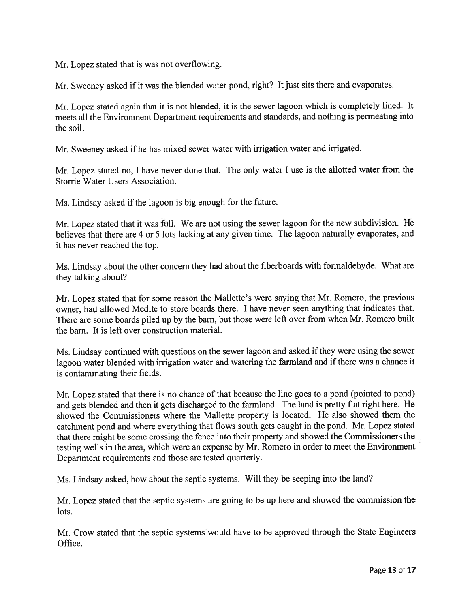Mr. Lopez stated that is was not overflowing.

Mr. Sweeney asked if it was the blended water pond, right? It just sits there and evaporates.

Mr. Lopez stated again that it is not blended, it is the sewer lagoon which is completely lined. It meets all the Environment Department requirements and standards, and nothing is permeating into the soil.

Mr. Sweeney asked if he has mixed sewer water with irrigation water and irrigated.

Mr. Lopez stated no, <sup>I</sup> have never done that. The only water <sup>I</sup> use is the allotted water from the Storrie Water Users Association.

Ms. Lindsay asked if the lagoon is big enoug<sup>h</sup> for the future.

Mr. Lopez stated that it was full. We are not using the sewer lagoon for the new subdivision. He believes that there are <sup>4</sup> or <sup>5</sup> lots lacking at any <sup>g</sup>iven time. The lagoon naturally evaporates, and it has never reached the top.

Ms. Lindsay about the other concern they had about the fiberboards with formaldehyde. What are they talking about?

Mr. Lopez stated that for some reason the Mallette's were saying that Mr. Romero, the previous owner, had allowed Medite to store boards there. <sup>I</sup> have never seen anything that indicates that. There are some boards <sup>p</sup>iled up by the barn, but those were left over from when Mr. Romero built the barn. It is left over construction material.

Ms. Lindsay continued with questions on the sewer lagoon and asked if they were using the sewer lagoon water blended with irrigation water and watering the farmland and if there was <sup>a</sup> chance it is contaminating their fields.

Mr. Lopez stated that there is no chance of that because the line goes to <sup>a</sup> pon<sup>d</sup> (pointed to pond) and gets blended and then it gets discharged to the farmland. The land is pretty flat right here. He showed the Commissioners where the Mallette property is located. He also showed them the catchment pond and where everything that flows south gets caught in the pond. Mr. Lopez stated that there might be some crossing the fence into their property and showed the Commissioners the testing wells in the area, which were an expense by Mr. Romero in order to meet the Environment Department requirements and those are tested quarterly.

Ms. Lindsay asked, how about the septic systems. Will they be seeping into the land?

Mr. Lopez stated that the septic systems are going to be up here and showed the commission the lots.

Mr. Crow stated that the septic systems would have to be approved through the State Engineers Office.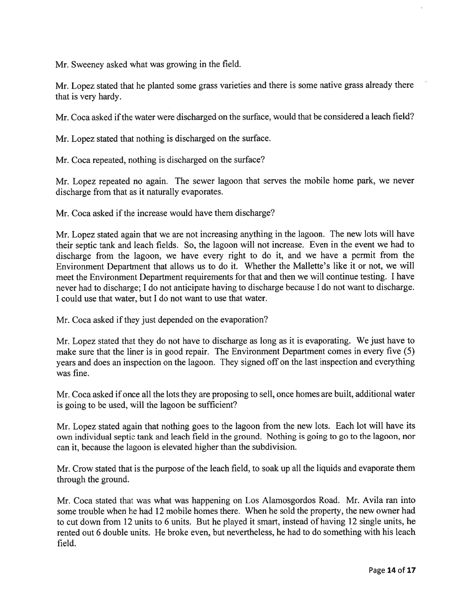Mr. Sweeney asked what was growing in the field.

Mr. Lopez stated that he <sup>p</sup>lanted some grass varieties and there is some native grass already there that is very hardy.

Mr. Coca asked if the water were discharged on the surface, would that be considered a leach field?

Mr. Lopez stated that nothing is discharged on the surface.

Mr. Coca repeated, nothing is discharged on the surface?

Mr. Lopez repeated no again. The sewer lagoon that serves the mobile home park, we never discharge from that as it naturally evaporates.

Mr. Coca asked if the increase would have them discharge?

Mr. Lopez stated again that we are not increasing anything in the lagoon. The new lots will have their septic tank and leach fields. So, the lagoon will not increase. Even in the event we had to discharge from the lagoon, we have every right to do it, and we have <sup>a</sup> permit from the Environment Department that allows us to do it. Whether the Mallette's like it or not, we will meet the Environment Department requirements for that and then we will continue testing. <sup>I</sup> have never had to discharge; <sup>I</sup> do not anticipate having to discharge because <sup>I</sup> do not want to discharge. I could use that water, but I do not want to use that water.

Mr. Coca asked if they just depended on the evaporation?

Mr. Lopez stated that they do not have to discharge as long as it is evaporating. We just have to make sure that the liner is in good repair. The Environment Department comes in every five (5) years and does an inspection on the lagoon. They signed off on the last inspection and everything was fine.

Mr. Coca asked if once all the lots they are proposing to sell, once homes are built, additional water is going to be used, will the lagoon be sufficient?

Mr. Lopez stated again that nothing goes to the lagoon from the new lots. Each lot will have its own individual septic tank and leach field in the ground. Nothing is going to go to the lagoon, nor can it, because the lagoon is elevated higher than the subdivision.

Mr. Crow stated that is the purpose of the leach field, to soak up all the liquids and evaporate them through the ground.

Mr. Coca stated that was what was happening on Los Alamosgordos Road. Mr. Avila ran into some trouble when he had 12 mobile homes there. When he sold the property, the new owner had to cut down from 12 units to 6 units. But he played it smart, instead of having 12 single units, he rented out 6 double units. He broke even, but nevertheless, he had to do something with his leach field.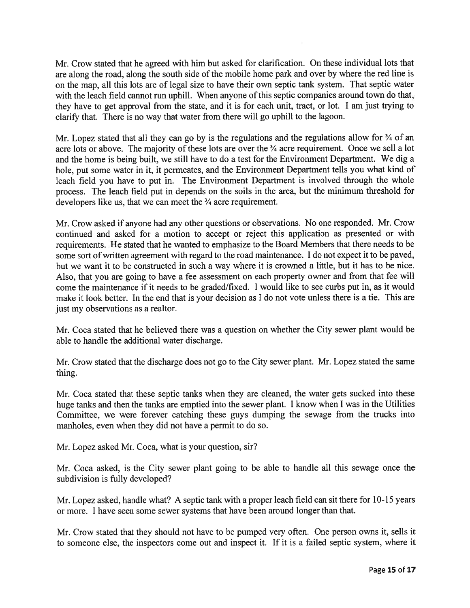Mr. Crow stated that he agreed with him but asked for clarification. On these individual lots that are along the road, along the south side of the mobile home par<sup>k</sup> and over by where the red line is on the map, all this lots are of legal size to have their own septic tank system. That septic water with the leach field cannot run uphill. When anyone of this septic companies around town do that, they have to ge<sup>t</sup> approva<sup>l</sup> from the state, and it is for each unit, tract, or lot. <sup>I</sup> am just trying to clarify that. There is no way that water from there will go uphill to the lagoon.

Mr. Lopez stated that all they can go by is the regulations and the regulations allow for  $\frac{3}{4}$  of an acre lots or above. The majority of these lots are over the <sup>3</sup>/4 acre requirement. Once we sell a lot and the home is being built, we still have to do <sup>a</sup> test for the Environment Department. We dig <sup>a</sup> hole, pu<sup>t</sup> some water in it, it permeates, and the Environment Department tells you what kind of leach field you have to pu<sup>t</sup> in. The Environment Department is involved through the whole process. The leach field pu<sup>t</sup> in depends on the soils in the area, but the minimum threshold for developers like us, that we can meet the 3/4 acre requirement.

Mr. Crow asked if anyone had any other questions or observations. No one responded. Mr. Crow continued and asked for <sup>a</sup> motion to accep<sup>t</sup> or reject this application as presented or with requirements. He stated that he wanted to emphasize to the Board Members that there needs to be some sort of written agreemen<sup>t</sup> with regard to the road maintenance. <sup>I</sup> do not expec<sup>t</sup> it to be paved, but we want it to be constructed in such <sup>a</sup> way where it is crowned <sup>a</sup> little, but it has to be nice. Also, that you are going to have <sup>a</sup> fee assessment on each property owner and from that fee will come the maintenance if it needs to be graded/fixed. I would like to see curbs pu<sup>t</sup> in, as it would make it look better. In the end that is your decision as I do not vote unless there is <sup>a</sup> tie. This are just my observations as a realtor.

Mr. Coca stated that he believed there was <sup>a</sup> question on whether the City sewer plant would be able to handle the additional water discharge.

Mr. Crow stated that the discharge does not go to the City sewer plant. Mr. Lopez stated the same thing.

Mr. Coca stated that these septic tanks when they are cleaned, the water gets sucked into these huge tanks and then the tanks are emptied into the sewer plant. <sup>I</sup> know when <sup>I</sup> was in the Utilities Committee, we were forever catching these guys dumping the sewage from the trucks into manholes, even when they did not have <sup>a</sup> permit to do so.

Mr. Lopez asked Mr. Coca, what is your question, sir?

Mr. Coca asked, is the City sewer <sup>p</sup>lant going to be able to handle all this sewage once the subdivision is fully developed?

Mr. Lopez asked, handle what? A septic tank with <sup>a</sup> proper leach field can sit there for 10-15 years or more. I have seen some sewer systems that have been around longer than that.

Mr. Crow stated that they should not have to be pumpe<sup>d</sup> very often. One person owns it, sells it to someone else, the inspectors come out and inspect it. If it is <sup>a</sup> failed septic system, where it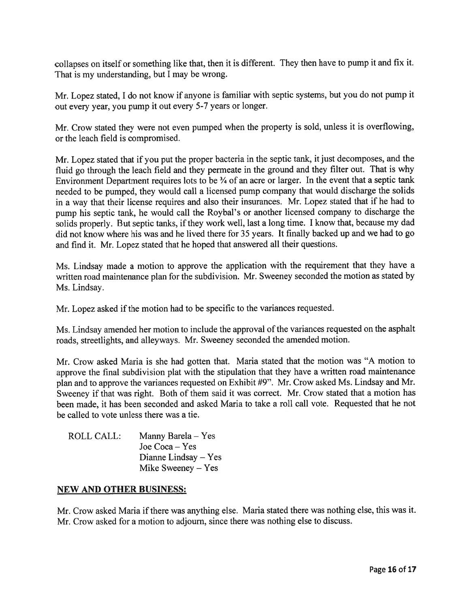collapses on itself or something like that, then it is different. They then have to pump it and fix it. That is my understanding, but <sup>I</sup> may be wrong.

Mr. Lopez stated, <sup>I</sup> do not know if anyone is familiar with septic systems, but you do not pump it out every year, you pump it out every 5-7 years or longer.

Mr. Crow stated they were not even pumpe<sup>d</sup> when the property is sold, unless it is overflowing, or the leach field is compromised.

Mr. Lopez stated that if you pu<sup>t</sup> the proper bacteria in the septic tank, it just decomposes, and the fluid go through the leach field and they permeate in the groun<sup>d</sup> and they filter out. That is why Environment Department requires lots to be 3/4 of an acre or larger. In the event that <sup>a</sup> septic tank needed to be pumped, they would call <sup>a</sup> licensed pump company that would discharge the solids in <sup>a</sup> way that their license requires and also their insurances. Mr. Lopez stated that if he had to pump his septic tank, he would call the Roybal's or another licensed company to discharge the solids properly. But septic tanks, if they work well, last a long time. I know that, because my dad did not know where his was and he lived there for 35 years. It finally backed up and we had to go and find it. Mr. Lopez stated that he hoped that answered all their questions.

Ms. Lindsay made <sup>a</sup> motion to approve the application with the requirement that they have <sup>a</sup> written road maintenance <sup>p</sup>lan for the subdivision. Mr. Sweeney seconded the motion as stated by Ms. Lindsay.

Mr. Lopez asked if the motion had to be specific to the variances requested.

Ms. Lindsay amended her motion to include the approval of the variances requested on the asphalt roads, streetlights, and alleyways. Mr. Sweeney seconded the amended motion.

Mr. Crow asked Maria is she had gotten that. Maria stated that the motion was "A motion to approve the final subdivision <sup>p</sup>lat with the stipulation that they have <sup>a</sup> written road maintenance <sup>p</sup>lan and to approve the variances requested on Exhibit #9". Mr. Crow asked Ms. Lindsay and Mr. Sweeney if that was right. Both of them said it was correct. Mr. Crow stated that <sup>a</sup> motion has been made, it has been seconded and asked Maria to take <sup>a</sup> roll call vote. Requested that he not be called to vote unless there was <sup>a</sup> tie.

| ROLL CALL: | Manny Barela – Yes     |
|------------|------------------------|
|            | Joe Coca – Yes         |
|            | Dianne Lindsay $-$ Yes |
|            | Mike Sweeney $-$ Yes   |

### NEW AND OTHER BUSINESS:

Mr. Crow asked Maria if there was anything else. Maria stated there was nothing else, this was it. Mr. Crow asked for <sup>a</sup> motion to adjourn, since there was nothing else to discuss.